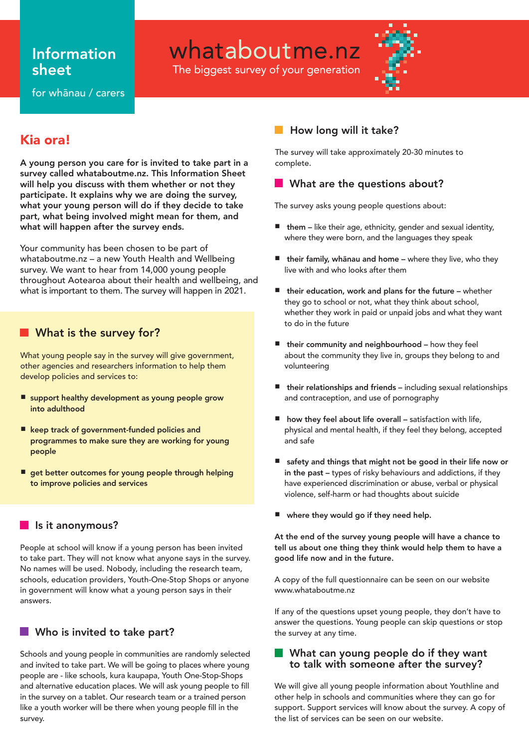# Information sheet

whataboutme.nz

The biggest survey of your generation



for whānau / carers

# Kia ora!

A young person you care for is invited to take part in a survey called whataboutme.nz. This Information Sheet will help you discuss with them whether or not they participate. It explains why we are doing the survey, what your young person will do if they decide to take part, what being involved might mean for them, and what will happen after the survey ends.

Your community has been chosen to be part of whataboutme.nz – a new Youth Health and Wellbeing survey. We want to hear from 14,000 young people throughout Aotearoa about their health and wellbeing, and what is important to them. The survey will happen in 2021.

# **Not is the survey for?**

What young people say in the survey will give government, other agencies and researchers information to help them develop policies and services to:

- support healthy development as young people grow into adulthood
- keep track of government-funded policies and programmes to make sure they are working for young people
- get better outcomes for young people through helping to improve policies and services

### **Is it anonymous?**

People at school will know if a young person has been invited to take part. They will not know what anyone says in the survey. No names will be used. Nobody, including the research team, schools, education providers, Youth-One-Stop Shops or anyone in government will know what a young person says in their answers.

# **No is invited to take part?**

Schools and young people in communities are randomly selected and invited to take part. We will be going to places where young people are - like schools, kura kaupapa, Youth One-Stop-Shops and alternative education places. We will ask young people to fill in the survey on a tablet. Our research team or a trained person like a youth worker will be there when young people fill in the survey.

# How long will it take?

The survey will take approximately 20-30 minutes to complete.

## **Notable 19 What are the questions about?**

The survey asks young people questions about:

- them like their age, ethnicity, gender and sexual identity, where they were born, and the languages they speak
- their family, whānau and home where they live, who they live with and who looks after them
- their education, work and plans for the future whether they go to school or not, what they think about school, whether they work in paid or unpaid jobs and what they want to do in the future
- **■** their community and neighbourhood how they feel about the community they live in, groups they belong to and volunteering
- their relationships and friends including sexual relationships and contraception, and use of pornography
- how they feel about life overall satisfaction with life, physical and mental health, if they feel they belong, accepted and safe
- safety and things that might not be good in their life now or in the past – types of risky behaviours and addictions, if they have experienced discrimination or abuse, verbal or physical violence, self-harm or had thoughts about suicide
- where they would go if they need help.

At the end of the survey young people will have a chance to tell us about one thing they think would help them to have a good life now and in the future.

A copy of the full questionnaire can be seen on our website www.whataboutme.nz

If any of the questions upset young people, they don't have to answer the questions. Young people can skip questions or stop the survey at any time.

### **Notable 10 What can young people do if they want** to talk with someone after the survey?

We will give all young people information about Youthline and other help in schools and communities where they can go for support. Support services will know about the survey. A copy of the list of services can be seen on our website.